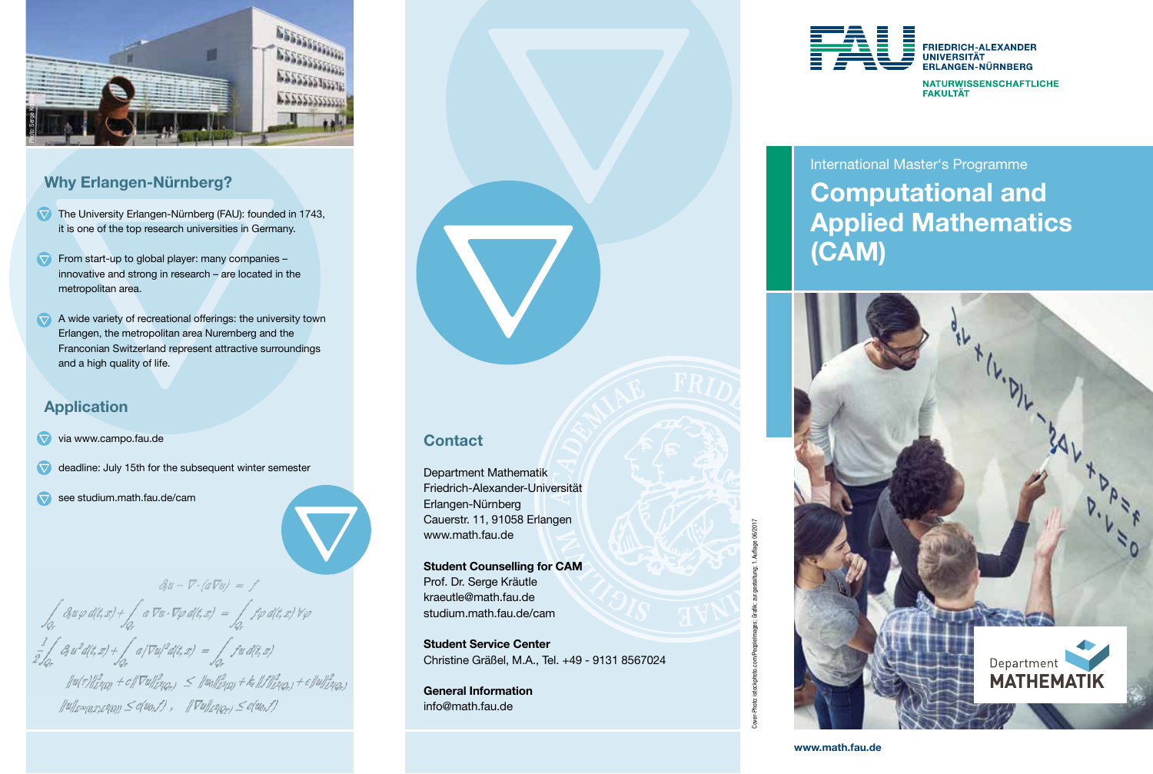

### Why Erlangen-Nürnberg?

- The University Erlangen-Nürnberg (FAU): founded in 1743, it is one of the top research universities in Germany.
- $\nabla$  From start-up to global player: many companies innovative and strong in research – are located in the metropolitan area.
- $\blacktriangleright$  A wide variety of recreational offerings: the university town Erlangen, the metropolitan area Nuremberg and the Franconian Switzerland represent attractive surroundings and a high quality of life.

### Application

#### via www.campo.fau.de

- $\overline{\nabla}$ deadline: July 15th for the subsequent winter semester
- $\overline{\nabla}$ see studium.math.fau.de/cam

 $\partial_t u - \nabla \cdot (a \nabla u) = f$  $\int_{Q_r} \partial_t u \varphi \, d(t,x) + \int_{Q_r} a \nabla u \cdot \nabla \varphi \, d(t,x) \; = \int_{Q_r} f \varphi \, d(t,x) \, \forall \varphi$  $\frac{1}{2}\int_{\Omega} \partial_t u^2 d(t,x) + \int_{\Omega} a/\nabla u^2 d(t,x) = \int_{\Omega} fu \, d(t,x)$  $\|u(\tau)\|_{L^2(\Omega)}^2+c\|\nabla u\|_{L^2(Q_{\tau})}^2\,\,\leq\,\, \|u_0\|_{L^2(\Omega)}^2+\,k_{\epsilon}\,\|f\|_{L^2(Q_{\tau})}^2+\epsilon\|u\|_{L^2(Q_{\tau})}^2$ 

 $||u||_{L^{\infty}(\Omega T^*L^2(\Omega))} \leq c(u_0,f)$ ,  $||\nabla u||_{L^2(\Omega_0)} \leq c(u_0,f)$ 

# **Contact**

Department Mathematik Friedrich-Alexander-Universität Erlangen-Nürnberg Cauerstr. 11, 91058 Erlangen www.math.fau.de

Student Counselling for CAM Prof. Dr. Serge Kräutle kraeutle@math.fau.de studium.math.fau.de/cam

Student Service Center Christine Gräßel, M.A., Tel. +49 - 9131 8567024

General Information info@math.fau.de



## International Master's Programme Computational and Applied Mathematics (CAM)



ng: 1. Auflage 06/201